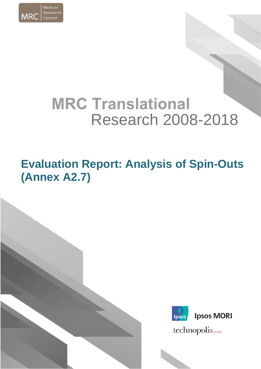

# **MRC Translational** Research 2008-2018

## **Evaluation Report: Analysis of Spin-Outs (Annex A2.7)**





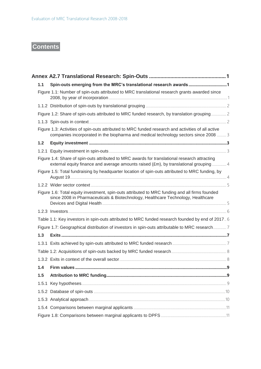### **Contents**

| 1.1   | Spin-outs emerging from the MRC's translational research awards1                                                                                                                           |  |
|-------|--------------------------------------------------------------------------------------------------------------------------------------------------------------------------------------------|--|
|       | Figure 1.1: Number of spin-outs attributed to MRC translational research grants awarded since                                                                                              |  |
|       |                                                                                                                                                                                            |  |
|       |                                                                                                                                                                                            |  |
|       | Figure 1.2: Share of spin-outs attributed to MRC funded research, by translation grouping 2                                                                                                |  |
|       |                                                                                                                                                                                            |  |
|       | Figure 1.3: Activities of spin-outs attributed to MRC funded research and activities of all active<br>companies incorporated in the biopharma and medical technology sectors since 2008  3 |  |
| $1.2$ |                                                                                                                                                                                            |  |
|       |                                                                                                                                                                                            |  |
|       | Figure 1.4: Share of spin-outs attributed to MRC awards for translational research attracting<br>external equity finance and average amounts raised (£m), by translational grouping  4     |  |
|       | Figure 1.5: Total fundraising by headquarter location of spin-outs attributed to MRC funding, by                                                                                           |  |
|       |                                                                                                                                                                                            |  |
|       | Figure 1.6: Total equity investment, spin-outs attributed to MRC funding and all firms founded<br>since 2008 in Pharmaceuticals & Biotechnology, Healthcare Technology, Healthcare         |  |
|       |                                                                                                                                                                                            |  |
|       | Table 1.1: Key investors in spin-outs attributed to MRC funded research founded by end of 2017. 6                                                                                          |  |
|       | Figure 1.7: Geographical distribution of investors in spin-outs attributable to MRC research 7                                                                                             |  |
| 1.3   |                                                                                                                                                                                            |  |
|       |                                                                                                                                                                                            |  |
|       |                                                                                                                                                                                            |  |
|       |                                                                                                                                                                                            |  |
| 1.4   |                                                                                                                                                                                            |  |
| 1.5   |                                                                                                                                                                                            |  |
|       |                                                                                                                                                                                            |  |
|       |                                                                                                                                                                                            |  |
|       |                                                                                                                                                                                            |  |
|       |                                                                                                                                                                                            |  |
|       |                                                                                                                                                                                            |  |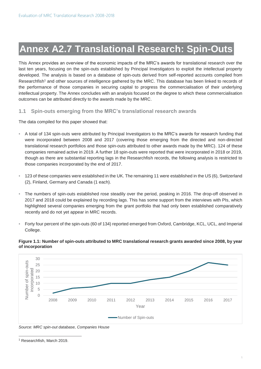### <span id="page-2-0"></span>**Annex A2.7 Translational Research: Spin-Outs**

This Annex provides an overview of the economic impacts of the MRC's awards for translational research over the last ten years, focusing on the spin-outs established by Principal Investigators to exploit the intellectual property developed. The analysis is based on a database of spin-outs derived from self-reported accounts compiled from Researchfish<sup>1</sup> and other sources of intelligence gathered by the MRC. This database has been linked to records of the performance of those companies in securing capital to progress the commercialisation of their underlying intellectual property. The Annex concludes with an analysis focused on the degree to which these commercialisation outcomes can be attributed directly to the awards made by the MRC.

#### <span id="page-2-1"></span>**1.1 Spin-outs emerging from the MRC's translational research awards**

The data compiled for this paper showed that:

- A total of 134 spin-outs were attributed by Principal Investigators to the MRC's awards for research funding that were incorporated between 2008 and 2017 (covering those emerging from the directed and non-directed translational research portfolios and those spin-outs attributed to other awards made by the MRC). 124 of these companies remained active in 2019. A further 18 spin-outs were reported that were incorporated in 2018 or 2019, though as there are substantial reporting lags in the Researchfish records, the following analysis is restricted to those companies incorporated by the end of 2017.
- 123 of these companies were established in the UK. The remaining 11 were established in the US (6), Switzerland (2), Finland, Germany and Canada (1 each).
- The numbers of spin-outs established rose steadily over the period, peaking in 2016. The drop-off observed in 2017 and 2018 could be explained by recording lags. This has some support from the interviews with PIs, which highlighted several companies emerging from the grant portfolio that had only been established comparatively recently and do not yet appear in MRC records.
- Forty four percent of the spin-outs (60 of 134) reported emerged from Oxford, Cambridge, KCL, UCL, and Imperial College.

#### <span id="page-2-2"></span>**Figure 1.1: Number of spin-outs attributed to MRC translational research grants awarded since 2008, by year of incorporation**



*Source: MRC spin-out database, Companies House*

 $\overline{a}$ 

<sup>1</sup> Researchfish, March 2019.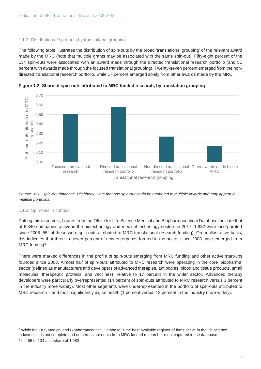#### <span id="page-3-0"></span>1.1.2 Distribution of spin-outs by translational grouping

The following table illustrates the distribution of spin-outs by the broad 'translational grouping' of the relevant award made by the MRC (note that multiple grants may be associated with the same spin-out). Fifty-eight percent of the 134 spin-outs were associated with an award made through the directed translational research portfolio (and 51 percent with awards made through the focused translational grouping). Twenty-seven percent emerged from the nondirected translational research portfolio, while 17 percent emerged solely from other awards made by the MRC.



<span id="page-3-1"></span>**Figure 1.2: Share of spin-outs attributed to MRC funded research, by translation grouping**

*Source: MRC spin-out database, Pitchbook. Note that one spin-out could be attributed to multiple awards and may appear in multiple portfolios.* 

#### <span id="page-3-2"></span>1.1.3 Spin-outs in context

Putting this in context, figures from the Office for Life Science Medical and Biopharmaceutical Database indicate that of 6,340 companies active in the biotechnology and medical technology sectors in 2017, 1,982 were incorporated since 2008. 55<sup>2</sup> of these were spin-outs attributed to MRC translational research funding). On an illustrative basis, this indicates that three to seven percent of new enterprises formed in the sector since 2008 have emerged from MRC funding<sup>3</sup>.

There were marked differences in the profile of spin-outs emerging from MRC funding and other active start-ups founded since 2008. Almost half of spin-outs attributed to MRC research were operating in the core 'biopharma' sector (defined as manufacturers and developers of advanced therapies, antibodies, blood and tissue products, small molecules, therapeutic proteins, and vaccines), relative to 17 percent in the wider sector. Advanced therapy developers were particularly overrepresented (14 percent of spin-outs attributed to MRC research versus 3 percent in the industry more widely). Most other segments were underrepresented in the portfolio of spin-outs attributed to MRC research – and most significantly digital health (1 percent versus 13 percent in the industry more widely).

 $\overline{a}$ <sup>2</sup> While the OLS Medical and Biopharmaceutical Database is the best available register of firms active in the life science industries, it is not complete and numerous spin-outs from MRC funded research are not captured in the database.  $3$  l.e. 55 to 134 as a share of 1,982.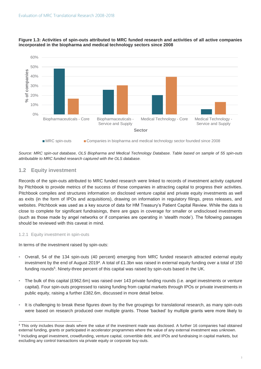

#### <span id="page-4-0"></span>**Figure 1.3: Activities of spin-outs attributed to MRC funded research and activities of all active companies incorporated in the biopharma and medical technology sectors since 2008**



*Source: MRC spin-out database, OLS Biopharma and Medical Technology Database. Table based on sample of 55 spin-outs attributable to MRC funded research captured with the OLS database.*

#### <span id="page-4-1"></span>**1.2 Equity investment**

Records of the spin-outs attributed to MRC funded research were linked to records of investment activity captured by Pitchbook to provide metrics of the success of those companies in attracting capital to progress their activities. Pitchbook compiles and structures information on disclosed venture capital and private equity investments as well as exits (in the form of IPOs and acquisitions), drawing on information in regulatory filings, press releases, and websites. Pitchbook was used as a key source of data for HM Treasury's Patient Capital Review. While the data is close to complete for significant fundraisings, there are gaps in coverage for smaller or undisclosed investments (such as those made by angel networks or if companies are operating in 'stealth mode'). The following passages should be reviewed with this caveat in mind.

#### <span id="page-4-2"></span>1.2.1 Equity investment in spin-outs

 $\overline{a}$ 

In terms of the investment raised by spin-outs:

- Overall, 54 of the 134 spin-outs (40 percent) emerging from MRC funded research attracted external equity investment by the end of August 2019<sup>4</sup>. A total of £1.3bn was raised in external equity funding over a total of 150 funding rounds<sup>5</sup>. Ninety-three percent of this capital was raised by spin-outs based in the UK.
- The bulk of this capital (£962.6m) was raised over 143 private funding rounds (i.e. angel investments or venture capital). Four spin-outs progressed to raising funding from capital markets through IPOs or private investments in public equity, raising a further £382.6m, discussed in more detail below.
- It is challenging to break these figures down by the five groupings for translational research, as many spin-outs were based on research produced over multiple grants. Those 'backed' by multiple grants were more likely to

<sup>4</sup> This only includes those deals where the value of the investment made was disclosed. A further 16 companies had obtained external funding, grants or participated in accelerator programmes where the value of any external investment was unknown. <sup>5</sup> Including angel investment, crowdfunding, venture capital, convertible debt, and IPOs and fundraising in capital markets, but excluding any control transactions via private equity or corporate buy-outs.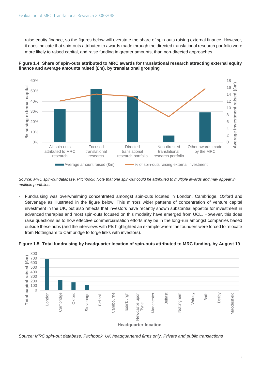raise equity finance, so the figures below will overstate the share of spin-outs raising external finance. However, it does indicate that spin-outs attributed to awards made through the directed translational research portfolio were more likely to raised capital, and raise funding in greater amounts, than non-directed approaches.



<span id="page-5-0"></span>

*Source: MRC spin-out database, Pitchbook. Note that one spin-out could be attributed to multiple awards and may appear in multiple portfolios.* 

Fundraising was overwhelming concentrated amongst spin-outs located in London, Cambridge, Oxford and Stevenage as illustrated in the figure below. This mirrors wider patterns of concentration of venture capital investment in the UK, but also reflects that investors have recently shown substantial appetite for investment in advanced therapies and most spin-outs focused on this modality have emerged from UCL. However, this does raise questions as to how effective commercialisation efforts may be in the long-run amongst companies based outside these hubs (and the interviews with PIs highlighted an example where the founders were forced to relocate from Nottingham to Cambridge to forge links with investors).

<span id="page-5-1"></span>**Figure 1.5: Total fundraising by headquarter location of spin-outs attributed to MRC funding, by August 19**



*Source: MRC spin-out database, Pitchbook, UK headquartered firms only. Private and public transactions*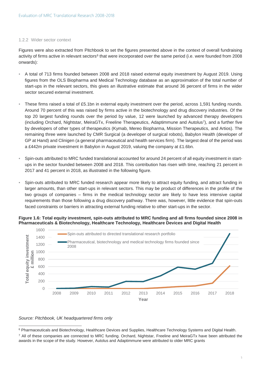#### <span id="page-6-0"></span>1.2.2 Wider sector context

Figures were also extracted from Pitchbook to set the figures presented above in the context of overall fundraising activity of firms active in relevant sectors<sup>6</sup> that were incorporated over the same period (i.e. were founded from 2008 onwards):

- A total of 713 firms founded between 2008 and 2018 raised external equity investment by August 2019. Using figures from the OLS Biopharma and Medical Technology database as an approximation of the total number of start-ups in the relevant sectors, this gives an illustrative estimate that around 36 percent of firms in the wider sector secured external investment.
- These firms raised a total of £5.1bn in external equity investment over the period, across 1,591 funding rounds. Around 70 percent of this was raised by firms active in the biotechnology and drug discovery industries. Of the top 20 largest funding rounds over the period by value, 12 were launched by advanced therapy developers (including Orchard, Nightstar, MeiraGTx, Freeline Therapeutics, Adaptimmune and Autolus<sup>7</sup>), and a further five by developers of other types of therapeutics (Kymab, Mereo Biopharma, Mission Therapeutics, and Artios). The remaining three were launched by CMR Surgical (a developer of surgical robots), Babylon Health (developer of GP at Hand) and Clinigen (a general pharmaceutical and health services firm). The largest deal of the period was a £442m private investment in Babylon in August 2019, valuing the company at £1.6bn.
- Spin-outs attributed to MRC funded translational accounted for around 24 percent of all equity investment in startups in the sector founded between 2008 and 2018. This contribution has risen with time, reaching 21 percent in 2017 and 41 percent in 2018, as illustrated in the following figure.
- Spin-outs attributed to MRC funded research appear more likely to attract equity funding, and attract funding in larger amounts, than other start-ups in relevant sectors. This may be product of differences in the profile of the two groups of companies – firms in the medical technology sector are likely to have less intensive capital requirements than those following a drug discovery pathway. There was, however, little evidence that spin-outs faced constraints or barriers in attracting external funding relative to other start-ups in the sector.

<span id="page-6-1"></span>



#### *Source: Pitchbook, UK headquartered firms only*

 $\overline{a}$ 

<sup>6</sup> Pharmaceuticals and Biotechnology, Healthcare Devices and Supplies, Healthcare Technology Systems and Digital Health. <sup>7</sup> All of these companies are connected to MRC funding. Orchard, Nightstar, Freeline and MeiraGTx have been attributed the awards in the scope of the study. However, Autolus and Adaptimmune were attributed to older MRC grants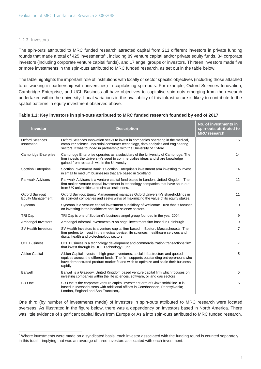#### <span id="page-7-0"></span>1.2.3 Investors

 $\overline{a}$ 

The spin-outs attributed to MRC funded research attracted capital from 211 different investors in private funding rounds that made a total of 425 investments<sup>8</sup> , including 89 venture capital and/or private equity funds, 34 corporate investors (including corporate venture capital funds), and 17 angel groups or investors. Thirteen investors made five or more investments in the spin-outs attributed to MRC funded research, as set out in the table below.

The table highlights the important role of institutions with locally or sector specific objectives (including those attached to or working in partnership with universities) in capitalising spin-outs. For example, Oxford Sciences Innovation, Cambridge Enterprise, and UCL Business all have objectives to capitalise spin-outs emerging from the research undertaken within the university. Local variations in the availability of this infrastructure is likely to contribute to the spatial patterns in equity investment observed above.

| <b>Investor</b>                             | <b>Description</b>                                                                                                                                                                                                                                                         | No. of investments in<br>spin-outs attributed to<br><b>MRC</b> research |
|---------------------------------------------|----------------------------------------------------------------------------------------------------------------------------------------------------------------------------------------------------------------------------------------------------------------------------|-------------------------------------------------------------------------|
| <b>Oxford Sciences</b><br>Innovation        | Oxford Sciences Innovation seeks to invest in companies operating in the medical,<br>computer science, industrial consumer technology, data analytics and engineering<br>sectors. It was founded in partnership with the University of Oxford.                             | 15                                                                      |
| Cambridge Enterprise                        | Cambridge Enterprise operates as a subsidiary of the University of Cambridge. The<br>firm invests the University's seed to commercialize ideas and share knowledge<br>gained from research within the University.                                                          | 14                                                                      |
| <b>Scottish Enterprise</b>                  | Scottish Investment Bank is Scottish Enterprise's investment arm investing to invest<br>in small to medium businesses that are based in Scotland.                                                                                                                          | 14                                                                      |
| <b>Parkwalk Advisors</b>                    | Parkwalk Advisors is a venture capital fund based in London, United Kingdom. The<br>firm makes venture capital investment in technology companies that have spun out<br>from UK universities and similar institutions.                                                     | 12                                                                      |
| Oxford Spin-out<br><b>Equity Management</b> | Oxford Spin-out Equity Management manages Oxford University's shareholdings in<br>its spin-out companies and seeks ways of maximizing the value of its equity stakes.                                                                                                      | 11                                                                      |
| Syncona                                     | Syncona is a venture capital investment subsidiary of Wellcome Trust that is focused<br>on investing in the healthcare and life science sectors.                                                                                                                           | 10                                                                      |
| TRI Cap                                     | TRI Cap is one of Scotland's business angel group founded in the year 2004.                                                                                                                                                                                                | 9                                                                       |
| Archangel Investors                         | Archangel Informal Investments is an angel investment firm based in Edinburgh.                                                                                                                                                                                             | 9                                                                       |
| <b>SV Health Investors</b>                  | SV Health Investors is a venture capital firm based in Boston, Massachusetts. The<br>firm prefers to invest in the medical device, life sciences, healthcare services and<br>digital health and biotechnology sectors.                                                     | $\overline{7}$                                                          |
| <b>UCL Business</b>                         | UCL Business is a technology development and commercialization transactions firm<br>that invest through its UCL Technology Fund.                                                                                                                                           | $\overline{7}$                                                          |
| <b>Albion Capital</b>                       | Albion Capital invests in high growth ventures, social infrastructure and quoted<br>equities across the different funds. The firm supports outstanding entrepreneurs who<br>have demonstrated product-market fit and wish to optimize and scale their business<br>rapidly. | 5                                                                       |
| <b>Barwell</b>                              | Barwell is a Glasgow, United Kingdom based venture capital firm which focuses on<br>investing companies within the life sciences, software, oil and gas sectors                                                                                                            | 5                                                                       |
| SR One                                      | SR One is the corporate venture capital investment arm of Glaxosmithkline. It is<br>based in Massachusetts with additional offices in Conshohocen, Pennsylvania;<br>London, England and San Francisco,.                                                                    | 5                                                                       |

<span id="page-7-1"></span>

|  | Table 1.1: Key investors in spin-outs attributed to MRC funded research founded by end of 2017 |
|--|------------------------------------------------------------------------------------------------|
|--|------------------------------------------------------------------------------------------------|

One third (by number of investments made) of investors in spin-outs attributed to MRC research were located overseas. As illustrated in the figure below, there was a dependency on investors based in North America. There was little evidence of significant capital flows from Europe or Asia into spin-outs attributed to MRC funded research.

<sup>&</sup>lt;sup>8</sup> Where investments were made on a syndicated basis, each investor associated with the funding round is counted separately in this total – implying that was an average of three investors associated with each investment.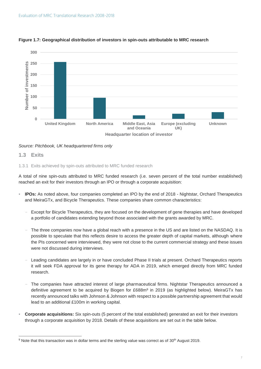

#### <span id="page-8-0"></span>**Figure 1.7: Geographical distribution of investors in spin-outs attributable to MRC research**

*Source: Pitchbook, UK headquartered firms only* 

#### <span id="page-8-1"></span>**1.3 Exits**

 $\overline{a}$ 

<span id="page-8-2"></span>1.3.1 Exits achieved by spin-outs attributed to MRC funded research

A total of nine spin-outs attributed to MRC funded research (i.e. seven percent of the total number established) reached an exit for their investors through an IPO or through a corporate acquisition:

- **IPOs:** As noted above, four companies completed an IPO by the end of 2018 Nightstar, Orchard Therapeutics and MeiraGTx, and Bicycle Therapeutics. These companies share common characteristics:
	- − Except for Bicycle Therapeutics, they are focused on the development of gene therapies and have developed a portfolio of candidates extending beyond those associated with the grants awarded by MRC.
	- The three companies now have a global reach with a presence in the US and are listed on the NASDAQ. It is possible to speculate that this reflects desire to access the greater depth of capital markets, although where the PIs concerned were interviewed, they were not close to the current commercial strategy and these issues were not discussed during interviews.
	- − Leading candidates are largely in or have concluded Phase II trials at present. Orchard Therapeutics reports it will seek FDA approval for its gene therapy for ADA in 2019, which emerged directly from MRC funded research.
	- The companies have attracted interest of large pharmaceutical firms. Nightstar Therapeutics announced a definitive agreement to be acquired by Biogen for £688m<sup>9</sup> in 2019 (as highlighted below). MeiraGTx has recently announced talks with Johnson & Johnson with respect to a possible partnership agreement that would lead to an additional £100m in working capital.
- **Corporate acquisitions:** Six spin-outs (5 percent of the total established) generated an exit for their investors through a corporate acquisition by 2018. Details of these acquisitions are set out in the table below.

<sup>&</sup>lt;sup>9</sup> Note that this transaction was in dollar terms and the sterling value was correct as of 30<sup>th</sup> August 2019.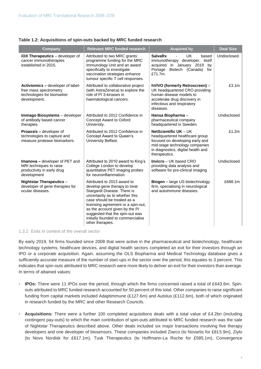<span id="page-9-0"></span>

|  | Table 1.2: Acquisitions of spin-outs backed by MRC funded research |
|--|--------------------------------------------------------------------|
|--|--------------------------------------------------------------------|

| Company                                                                                                       | <b>Relevant MRC funded research</b>                                                                                                                                                                                                                                                                                               | <b>Acquired by</b>                                                                                                                                                                  | <b>Deal Size</b> |
|---------------------------------------------------------------------------------------------------------------|-----------------------------------------------------------------------------------------------------------------------------------------------------------------------------------------------------------------------------------------------------------------------------------------------------------------------------------|-------------------------------------------------------------------------------------------------------------------------------------------------------------------------------------|------------------|
| iOX Therapeutics - developer of<br>cancer immunotherapies<br>established in 2015.                             | Attributed to two MRC grants:<br>programme funding for the MRC<br>Immunology Unit and an award<br>specifically to investigate<br>vaccination strategies enhance<br>tumour specific T cell responses.                                                                                                                              | <b>SalvaRx</b><br>UK.<br>based<br>immunotherapy developer, itself<br>acquired in January 2019<br>by<br>Portage<br>Biotech (Canada)<br>for<br>£71.7m.                                | Undisclosed.     |
| Activiomics - developer of label-<br>free mass spectrometry<br>technologies for biomarker<br>development.     | Attributed to collaborative project<br>(with AstraZeneca) to explore the<br>role of PI 3-kinases in<br>haematological cancers.                                                                                                                                                                                                    | hVIVO (formerly Retroscreen) -<br>UK headquartered CRO providing<br>human disease models to<br>accelerate drug discovery in<br>infectious and respiratory<br>diseases.              | £3.1m            |
| Immago Biosystems - developer<br>of antibody based cancer<br>therapies.                                       | Attributed to 2012 Confidence in<br>Concept Award to Oxford<br>University.                                                                                                                                                                                                                                                        | Hansa Biopharma -<br>pharmaceutical company<br>headquartered in Sweden.                                                                                                             | Undisclosed      |
| Proaxsis - developer of<br>technologies to capture and<br>measure protease biomarkers.                        | Attributed to 2012 Confidence in<br>Concept Award to Queen's<br>University Belfast.                                                                                                                                                                                                                                               | NetScientific UK - UK<br>headquartered healthcare group<br>focused on developing early and<br>mid-stage technology companies<br>in diagnostics, digital health and<br>therapeutics. | £1.2m            |
| <b>Imanova</b> - developer of PET and<br>MRI techniques to raise<br>productivity in early drug<br>development | Attributed to 2010 award to King's<br>College London to develop<br>quantitative PET imaging probes<br>for neuroinflammation.                                                                                                                                                                                                      | <b>Invicro</b> – UK based CRO<br>providing data analysis and<br>software for pre-clinical imaging                                                                                   | Undisclosed      |
| <b>Nightstar Therapeutics -</b><br>developer of gene therapies for<br>ocular diseases.                        | Attributed to 2013 award to<br>develop gene therapy to treat<br>Stargardt Disease. There is<br>uncertainty as to whether this<br>case should be treated as a<br>licensing agreement or a spin-out,<br>as the account given by the PI<br>suggested that the spin-out was<br>initially founded to commercialise<br>other therapies. | Biogen - large US biotechnology<br>firm, specialising in neurological<br>and autoimmune diseases.                                                                                   | £688.1m          |

#### <span id="page-9-1"></span>1.3.2 Exits in context of the overall sector

By early 2019, 54 firms founded since 2008 that were active in the pharmaceutical and biotechnology, healthcare technology systems, healthcare devices, and digital health sectors completed an exit for their investors through an IPO or a corporate acquisition. Again, assuming the OLS Biopharma and Medical Technology database gives a sufficiently accurate measure of the number of start-ups in the sector over the period, this equates to 3 percent. This indicates that spin-outs attributed to MRC research were more likely to deliver an exit for their investors than average. In terms of attained values:

- **IPOs:** There were 11 IPOs over the period, through which the firms concerned raised a total of £643.6m. Spinouts attributed to MRC funded research accounted for 50 percent of this total. Other companies to raise significant funding from capital markets included Adaptimmune (£127.6m) and Autolus (£112.6m), both of which originated in research funded by the MRC and other Research Councils.
- Acquisitions: There were a further 100 completed acquisitions deals with a total value of £4.2bn (including contingent pay-outs) to which the main contribution of spin-outs attributed to MRC funded research was the sale of Nightstar Therapeutics described above. Other deals included six major transactions involving five therapy developers and one developer of biosensors. These companies included Ziarco (to Novartis for £815.9m), Ziylo (to Novo Nordisk for £617.1m), Tusk Therapeutics (to Hoffmann-La Roche for £585.1m), Convergence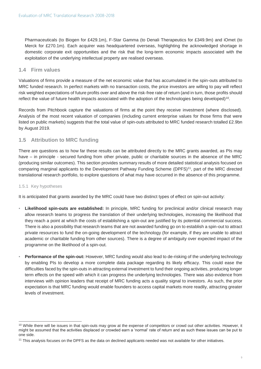Pharmaceuticals (to Biogen for £429.1m), F-Star Gamma (to Denali Therapeutics for £349.9m) and iOmet (to Merck for £270.1m). Each acquirer was headquartered overseas, highlighting the acknowledged shortage in domestic corporate exit opportunities and the risk that the long-term economic impacts associated with the exploitation of the underlying intellectual property are realised overseas.

#### <span id="page-10-0"></span>**1.4 Firm values**

Valuations of firms provide a measure of the net economic value that has accumulated in the spin-outs attributed to MRC funded research. In perfect markets with no transaction costs, the price investors are willing to pay will reflect risk weighted expectations of future profits over and above the risk-free rate of return (and in turn, those profits should reflect the value of future health impacts associated with the adoption of the technologies being developed)<sup>10</sup>.

Records from Pitchbook capture the valuations of firms at the point they receive investment (where disclosed). Analysis of the most recent valuation of companies (including current enterprise values for those firms that were listed on public markets) suggests that the total value of spin-outs attributed to MRC funded research totalled £2.9bn by August 2019.

#### <span id="page-10-1"></span>**1.5 Attribution to MRC funding**

There are questions as to how far these results can be attributed directly to the MRC grants awarded, as PIs may have – in principle - secured funding from other private, public or charitable sources in the absence of the MRC (producing similar outcomes). This section provides summary results of more detailed statistical analysis focused on comparing marginal applicants to the Development Pathway Funding Scheme (DPFS)<sup>11</sup>, part of the MRC directed translational research portfolio, to explore questions of what may have occurred in the absence of this programme.

#### <span id="page-10-2"></span>1.5.1 Key hypotheses

 $\overline{a}$ 

It is anticipated that grants awarded by the MRC could have two distinct types of effect on spin-out activity:

- **Likelihood spin-outs are established:** In principle, MRC funding for preclinical and/or clinical research may allow research teams to progress the translation of their underlying technologies, increasing the likelihood that they reach a point at which the costs of establishing a spin-out are justified by its potential commercial success. There is also a possibility that research teams that are not awarded funding go on to establish a spin-out to attract private resources to fund the on-going development of the technology (for example, if they are unable to attract academic or charitable funding from other sources). There is a degree of ambiguity over expected impact of the programme on the likelihood of a spin-out.
- **Performance of the spin-out:** However, MRC funding would also lead to de-risking of the underlying technology by enabling PIs to develop a more complete data package regarding its likely efficacy. This could ease the difficulties faced by the spin-outs in attracting external investment to fund their ongoing activities, producing longer term effects on the speed with which it can progress the underlying technologies. There was also evidence from interviews with opinion leaders that receipt of MRC funding acts a quality signal to investors. As such, the prior expectation is that MRC funding would enable founders to access capital markets more readily, attracting greater levels of investment.

<sup>&</sup>lt;sup>10</sup> While there will be issues in that spin-outs may grow at the expense of competitors or crowd out other activities. However, it might be assumed that the activities displaced or crowded earn a 'normal' rate of return and as such these issues can be put to one side.

<sup>&</sup>lt;sup>11</sup> This analysis focuses on the DPFS as the data on declined applicants needed was not available for other initiatives.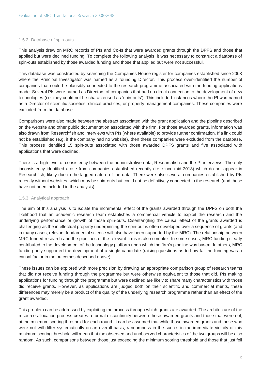#### <span id="page-11-0"></span>1.5.2 Database of spin-outs

This analysis drew on MRC records of PIs and Co-Is that were awarded grants through the DPFS and those that applied but were declined funding. To complete the following analysis, it was necessary to construct a database of spin-outs established by those awarded funding and those that applied but were not successful.

This database was constructed by searching the Companies House register for companies established since 2008 where the Principal Investigator was named as a founding Director. This process over-identified the number of companies that could be plausibly connected to the research programme associated with the funding applications made. Several PIs were named as Directors of companies that had no direct connection to the development of new technologies (i.e. they could not be characterised as 'spin-outs'). This included instances where the PI was named as a Director of scientific societies, clinical practices, or property management companies. These companies were excluded from the database.

Comparisons were also made between the abstract associated with the grant application and the pipeline described on the website and other public documentation associated with the firm. For those awarded grants, information was also drawn from Researchfish and interviews with PIs (where available) to provide further confirmation. If a link could not be established (e.g. if the company had no website), then these companies were excluded from the database. This process identified 15 spin-outs associated with those awarded DPFS grants and five associated with applications that were declined.

There is a high level of consistency between the administrative data, Researchfish and the PI interviews. The only inconsistency identified arose from companies established recently (i.e. since mid-2018) which do not appear in Researchfish, likely due to the lagged nature of the data. There were also several companies established by PIs recently without websites, which may be spin-outs but could not be definitively connected to the research (and these have not been included in the analysis).

#### <span id="page-11-1"></span>1.5.3 Analytical approach

The aim of this analysis is to isolate the incremental effect of the grants awarded through the DPFS on both the likelihood that an academic research team establishes a commercial vehicle to exploit the research and the underlying performance or growth of those spin-outs. Disentangling the causal effect of the grants awarded is challenging as the intellectual property underpinning the spin-out is often developed over a sequence of grants (and in many cases, relevant fundamental science will also have been supported by the MRC). The relationship between MRC funded research and the pipelines of the relevant firms is also complex. In some cases, MRC funding clearly contributed to the development of the technology platform upon which the firm's pipeline was based. In others, MRC funding only supported the development of a single candidate (raising questions as to how far the funding was a causal factor in the outcomes described above).

These issues can be explored with more precision by drawing an appropriate comparison group of research teams that did not receive funding through the programme but were otherwise equivalent to those that did. PIs making applications for funding through the programme but were declined are likely to share many characteristics with those did receive grants. However, as applications are judged both on their scientific and commercial merits, these differences may merely be a product of the quality of the underlying research programme rather than an effect of the grant awarded.

This problem can be addressed by exploiting the process through which grants are awarded. The architecture of the resource allocation process creates a formal discontinuity between those awarded grants and those that were not, at the minimum scoring threshold for each round. It can be assumed that while those awarded grants and those who were not will differ systematically on an overall basis, randomness in the scores in the immediate vicinity of this minimum scoring threshold will mean that the observed and unobserved characteristics of the two groups will be also random. As such, comparisons between those just exceeding the minimum scoring threshold and those that just fell